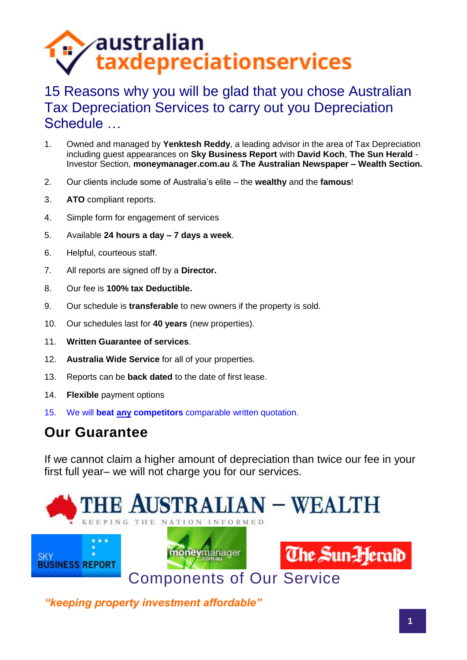# $\epsilon$ australian taxdepreciationservices

### 15 Reasons why you will be glad that you chose Australian Tax Depreciation Services to carry out you Depreciation Schedule …

- 1. Owned and managed by **Yenktesh Reddy**, a leading advisor in the area of Tax Depreciation including guest appearances on **Sky Business Report** with **David Koch**, **The Sun Herald** - Investor Section, **moneymanager.com.au** & **The Australian Newspaper – Wealth Section.**
- 2. Our clients include some of Australia's elite the **wealthy** and the **famous**!
- 3. **ATO** compliant reports.
- 4. Simple form for engagement of services
- 5. Available **24 hours a day 7 days a week**.
- 6. Helpful, courteous staff.
- 7. All reports are signed off by a **Director.**
- 8. Our fee is **100% tax Deductible.**
- 9. Our schedule is **transferable** to new owners if the property is sold.
- 10. Our schedules last for **40 years** (new properties).
- 11. **Written Guarantee of services**.
- 12. **Australia Wide Service** for all of your properties.
- 13. Reports can be **back dated** to the date of first lease.
- 14. **Flexible** payment options
- 15. We will **beat any competitors** comparable written quotation.

#### **Our Guarantee**

If we cannot claim a higher amount of depreciation than twice our fee in your first full year– we will not charge you for our services.

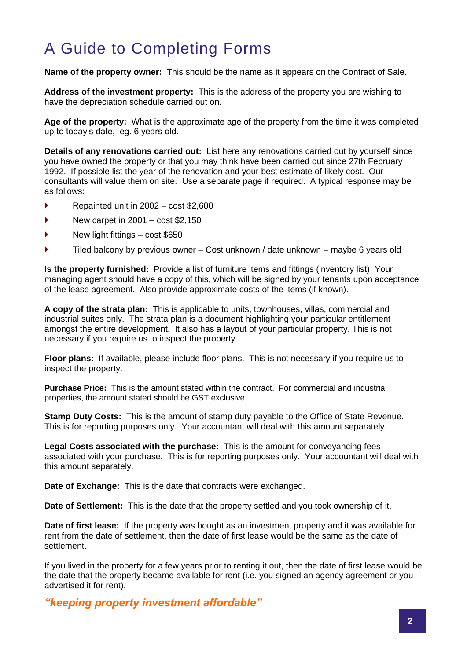## A Guide to Completing Forms

**Name of the property owner:** This should be the name as it appears on the Contract of Sale.

**Address of the investment property:** This is the address of the property you are wishing to have the depreciation schedule carried out on.

**Age of the property:** What is the approximate age of the property from the time it was completed up to today's date, eg. 6 years old.

**Details of any renovations carried out:** List here any renovations carried out by yourself since you have owned the property or that you may think have been carried out since 27th February 1992. If possible list the year of the renovation and your best estimate of likely cost. Our consultants will value them on site. Use a separate page if required. A typical response may be as follows:

- Repainted unit in 2002 cost \$2,600
- $\blacktriangleright$  New carpet in 2001 cost \$2,150
- ▶ New light fittings cost \$650
- Tiled balcony by previous owner Cost unknown / date unknown maybe 6 years old

**Is the property furnished:** Provide a list of furniture items and fittings (inventory list) Your managing agent should have a copy of this, which will be signed by your tenants upon acceptance of the lease agreement. Also provide approximate costs of the items (if known).

**A copy of the strata plan:** This is applicable to units, townhouses, villas, commercial and industrial suites only. The strata plan is a document highlighting your particular entitlement amongst the entire development. It also has a layout of your particular property. This is not necessary if you require us to inspect the property.

**Floor plans:** If available, please include floor plans. This is not necessary if you require us to inspect the property.

**Purchase Price:** This is the amount stated within the contract. For commercial and industrial properties, the amount stated should be GST exclusive.

**Stamp Duty Costs:** This is the amount of stamp duty payable to the Office of State Revenue. This is for reporting purposes only. Your accountant will deal with this amount separately.

**Legal Costs associated with the purchase:** This is the amount for conveyancing fees associated with your purchase. This is for reporting purposes only. Your accountant will deal with this amount separately.

**Date of Exchange:** This is the date that contracts were exchanged.

**Date of Settlement:** This is the date that the property settled and you took ownership of it.

**Date of first lease:** If the property was bought as an investment property and it was available for rent from the date of settlement, then the date of first lease would be the same as the date of settlement.

If you lived in the property for a few years prior to renting it out, then the date of first lease would be the date that the property became available for rent (i.e. you signed an agency agreement or you advertised it for rent).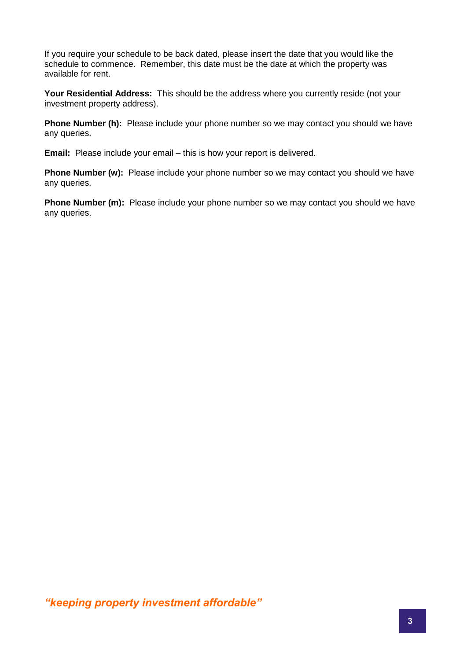If you require your schedule to be back dated, please insert the date that you would like the schedule to commence. Remember, this date must be the date at which the property was available for rent.

**Your Residential Address:** This should be the address where you currently reside (not your investment property address).

**Phone Number (h):** Please include your phone number so we may contact you should we have any queries.

**Email:** Please include your email – this is how your report is delivered.

**Phone Number (w):** Please include your phone number so we may contact you should we have any queries.

**Phone Number (m):** Please include your phone number so we may contact you should we have any queries.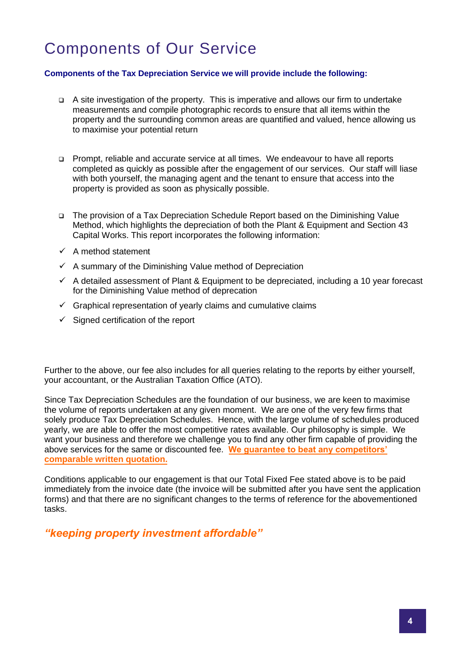## Components of Our Service

#### **Components of the Tax Depreciation Service we will provide include the following:**

- A site investigation of the property. This is imperative and allows our firm to undertake measurements and compile photographic records to ensure that all items within the property and the surrounding common areas are quantified and valued, hence allowing us to maximise your potential return
- Prompt, reliable and accurate service at all times. We endeavour to have all reports completed as quickly as possible after the engagement of our services. Our staff will liase with both yourself, the managing agent and the tenant to ensure that access into the property is provided as soon as physically possible.
- The provision of a Tax Depreciation Schedule Report based on the Diminishing Value Method, which highlights the depreciation of both the Plant & Equipment and Section 43 Capital Works. This report incorporates the following information:
- $\checkmark$  A method statement
- $\checkmark$  A summary of the Diminishing Value method of Depreciation
- $\checkmark$  A detailed assessment of Plant & Equipment to be depreciated, including a 10 year forecast for the Diminishing Value method of deprecation
- $\checkmark$  Graphical representation of yearly claims and cumulative claims
- $\checkmark$  Signed certification of the report

Further to the above, our fee also includes for all queries relating to the reports by either yourself, your accountant, or the Australian Taxation Office (ATO).

Since Tax Depreciation Schedules are the foundation of our business, we are keen to maximise the volume of reports undertaken at any given moment. We are one of the very few firms that solely produce Tax Depreciation Schedules. Hence, with the large volume of schedules produced yearly, we are able to offer the most competitive rates available. Our philosophy is simple. We want your business and therefore we challenge you to find any other firm capable of providing the above services for the same or discounted fee. **We guarantee to beat any competitors' comparable written quotation.** 

Conditions applicable to our engagement is that our Total Fixed Fee stated above is to be paid immediately from the invoice date (the invoice will be submitted after you have sent the application forms) and that there are no significant changes to the terms of reference for the abovementioned tasks.